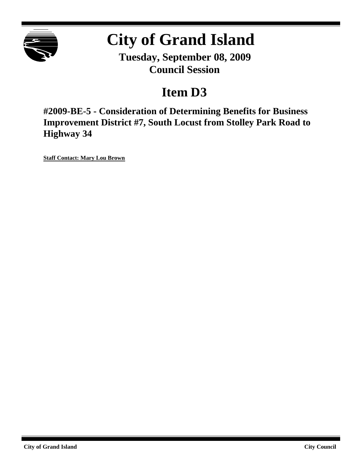

# **City of Grand Island**

**Tuesday, September 08, 2009 Council Session**

# **Item D3**

**#2009-BE-5 - Consideration of Determining Benefits for Business Improvement District #7, South Locust from Stolley Park Road to Highway 34**

**Staff Contact: Mary Lou Brown**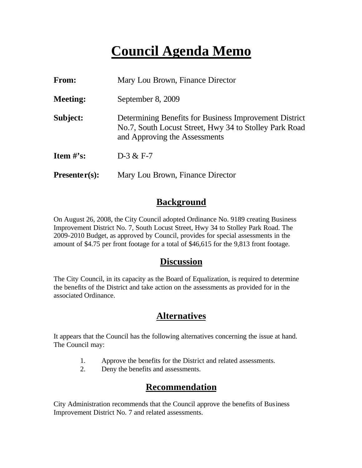# **Council Agenda Memo**

| From:                          | Mary Lou Brown, Finance Director                                                                                                                  |
|--------------------------------|---------------------------------------------------------------------------------------------------------------------------------------------------|
| <b>Meeting:</b>                | September 8, 2009                                                                                                                                 |
| Subject:                       | Determining Benefits for Business Improvement District<br>No.7, South Locust Street, Hwy 34 to Stolley Park Road<br>and Approving the Assessments |
| <b>Item <math>\#</math>'s:</b> | $D-3 & F-7$                                                                                                                                       |
| $Presenter(s):$                | Mary Lou Brown, Finance Director                                                                                                                  |

### **Background**

On August 26, 2008, the City Council adopted Ordinance No. 9189 creating Business Improvement District No. 7, South Locust Street, Hwy 34 to Stolley Park Road. The 2009-2010 Budget, as approved by Council, provides for special assessments in the amount of \$4.75 per front footage for a total of \$46,615 for the 9,813 front footage.

### **Discussion**

The City Council, in its capacity as the Board of Equalization, is required to determine the benefits of the District and take action on the assessments as provided for in the associated Ordinance.

## **Alternatives**

It appears that the Council has the following alternatives concerning the issue at hand. The Council may:

- 1. Approve the benefits for the District and related assessments.
- 2. Deny the benefits and assessments.

## **Recommendation**

City Administration recommends that the Council approve the benefits of Business Improvement District No. 7 and related assessments.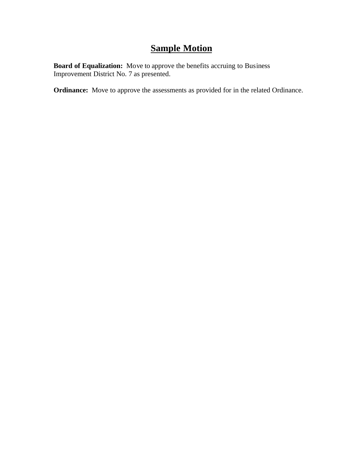# **Sample Motion**

**Board of Equalization:** Move to approve the benefits accruing to Business Improvement District No. 7 as presented.

**Ordinance:** Move to approve the assessments as provided for in the related Ordinance.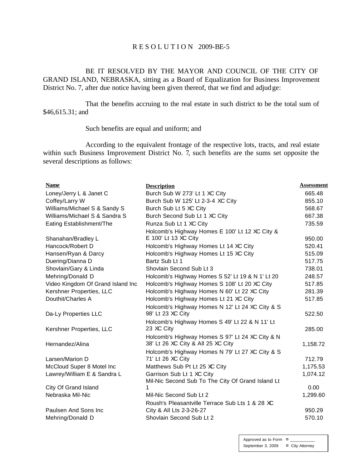#### R E S O L U T I O N 2009-BE-5

BE IT RESOLVED BY THE MAYOR AND COUNCIL OF THE CITY OF GRAND ISLAND, NEBRASKA, sitting as a Board of Equalization for Business Improvement District No. 7, after due notice having been given thereof, that we find and adjudge:

That the benefits accruing to the real estate in such district to be the total sum of \$46,615.31; and

#### Such benefits are equal and uniform; and

According to the equivalent frontage of the respective lots, tracts, and real estate within such Business Improvement District No. 7, such benefits are the sums set opposite the several descriptions as follows:

| <b>Name</b>                            | <b>Description</b>                                                             | Assessment |
|----------------------------------------|--------------------------------------------------------------------------------|------------|
| Loney/Jerry L & Janet C                | Burch Sub W 273' Lt 1 XC City                                                  | 665.48     |
| Coffey/Larry W                         | Burch Sub W 125' Lt 2-3-4 XC City                                              | 855.10     |
| Williams/Michael S & Sandy S           | Burch Sub Lt 5 XC City                                                         | 568.67     |
| Williams/Michael S & Sandra S          | Burch Second Sub Lt 1 XC City                                                  | 667.38     |
| Eating Establishment/The               | Runza Sub Lt 1 XC City                                                         | 735.59     |
|                                        | Holcomb's Highway Homes E 100' Lt 12 XC City &<br>E 100' Lt 13 XC City         |            |
| Shanahan/Bradley L<br>Hancock/Robert D |                                                                                | 950.00     |
|                                        | Holcomb's Highway Homes Lt 14 XC City                                          | 520.41     |
| Hansen/Ryan & Darcy                    | Holcomb's Highway Homes Lt 15 XC City                                          | 515.09     |
| Duering/Dianna D                       | Bartz Sub Lt 1                                                                 | 517.75     |
| Shovlain/Gary & Linda                  | Shovlain Second Sub Lt 3                                                       | 738.01     |
| Mehring/Donald D                       | Holcomb's Highway Homes S 52' Lt 19 & N 1' Lt 20                               | 248.57     |
| Video Kingdom Of Grand Island Inc      | Holcomb's Highway Homes S 108' Lt 20 XC City                                   | 517.85     |
| Kershner Properties, LLC               | Holcomb's Highway Homes N 60' Lt 22 XC City                                    | 281.39     |
| Douthit/Charles A                      | Holcomb's Highway Homes Lt 21 XC City                                          | 517.85     |
| Da-Ly Properties LLC                   | Holcomb's Highway Homes N 12' Lt 24 XC City & S<br>98' Lt 23 XC City           | 522.50     |
| Kershner Properties, LLC               | Holcomb's Highway Homes S 49' Lt 22 & N 11' Lt<br>23 XC City                   | 285.00     |
|                                        | Holcomb's Highway Homes S 97' Lt 24 XC City & N                                |            |
| Hernandez/Alina                        | 38' Lt 26 XC City & All 25 XC City                                             | 1,158.72   |
|                                        | Holcomb's Highway Homes N 79' Lt 27 XC City & S                                |            |
| Larsen/Marion D                        | 71' Lt 26 XC City                                                              | 712.79     |
| McCloud Super 8 Motel Inc              | Matthews Sub Pt Lt 25 XC City                                                  | 1,175.53   |
| Lawrey/William E & Sandra L            | Garrison Sub Lt 1 XC City<br>Mil-Nic Second Sub To The City Of Grand Island Lt | 1,074.12   |
| City Of Grand Island                   | 1                                                                              | 0.00       |
| Nebraska Mil-Nic                       | Mil-Nic Second Sub Lt 2                                                        | 1,299.60   |
|                                        | Roush's Pleasantville Terrace Sub Lts 1 & 28 XC                                |            |
| Paulsen And Sons Inc                   | City & All Lts 2-3-26-27                                                       | 950.29     |
| Mehring/Donald D                       | Shovlain Second Sub Lt 2                                                       | 570.10     |
|                                        |                                                                                |            |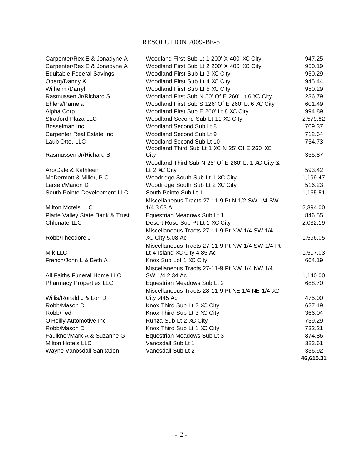#### RESOLUTION 2009-BE-5

| Carpenter/Rex E & Jonadyne A     | Woodland First Sub Lt 1 200' X 400' XC City       | 947.25    |
|----------------------------------|---------------------------------------------------|-----------|
| Carpenter/Rex E & Jonadyne A     | Woodland First Sub Lt 2 200' X 400' XC City       | 950.19    |
| <b>Equitable Federal Savings</b> | Woodland First Sub Lt 3 XC City                   | 950.29    |
| Oberg/Danny K                    | Woodland First Sub Lt 4 XC City                   | 945.44    |
| Wilhelmi/Darryl                  | Woodland First Sub Lt 5 XC City                   | 950.29    |
| Rasmussen Jr/Richard S           | Woodland First Sub N 50' Of E 260' Lt 6 XC City   | 236.79    |
| Ehlers/Pamela                    | Woodland First Sub S 126' Of E 260' Lt 6 XC City  | 601.49    |
| Alpha Corp                       | Woodland First Sub E 260' Lt 8 XC City            | 994.89    |
| <b>Stratford Plaza LLC</b>       | Woodland Second Sub Lt 11 XC City                 | 2,579.82  |
| Bosselman Inc                    | Woodland Second Sub Lt 8                          | 709.37    |
| Carpenter Real Estate Inc        | Woodland Second Sub Lt 9                          | 712.64    |
| Laub-Otto, LLC                   | Woodland Second Sub Lt 10                         | 754.73    |
|                                  | Woodland Third Sub Lt 1 XC N 25' Of E 260' XC     |           |
| Rasmussen Jr/Richard S           | City                                              | 355.87    |
|                                  | Woodland Third Sub N 25' Of E 260' Lt 1 XC City & |           |
| Arp/Dale & Kathleen              | Lt 2 XC City                                      | 593.42    |
| McDermott & Miller, P C          | Woodridge South Sub Lt 1 XC City                  | 1,199.47  |
| Larsen/Marion D                  | Woodridge South Sub Lt 2 XC City                  | 516.23    |
| South Pointe Development LLC     | South Pointe Sub Lt 1                             | 1,165.51  |
|                                  | Miscellaneous Tracts 27-11-9 Pt N 1/2 SW 1/4 SW   |           |
| Milton Motels LLC                | 1/4 3.03 A                                        | 2,394.00  |
| Platte Valley State Bank & Trust | Equestrian Meadows Sub Lt 1                       | 846.55    |
| Chlonate LLC                     | Desert Rose Sub Pt Lt 1 XC City                   | 2,032.19  |
|                                  | Miscellaneous Tracts 27-11-9 Pt NW 1/4 SW 1/4     |           |
| Robb/Theodore J                  | XC City 5.08 Ac                                   | 1,596.05  |
|                                  | Miscellaneous Tracts 27-11-9 Pt NW 1/4 SW 1/4 Pt  |           |
| Mik LLC                          | Lt 4 Island XC City 4.85 Ac                       | 1,507.03  |
| French/John L & Beth A           | Knox Sub Lot 1 XC City                            | 664.19    |
|                                  | Miscellaneous Tracts 27-11-9 Pt NW 1/4 NW 1/4     |           |
| All Faiths Funeral Home LLC      | SW 1/4 2.34 Ac                                    | 1,140.00  |
| <b>Pharmacy Properties LLC</b>   | Equestrian Meadows Sub Lt 2                       | 688.70    |
|                                  | Miscellaneous Tracts 28-11-9 Pt NE 1/4 NE 1/4 XC  |           |
| Willis/Ronald J & Lori D         | City .445 Ac                                      | 475.00    |
| Robb/Mason D                     | Knox Third Sub Lt 2 XC City                       | 627.19    |
| Robb/Ted                         | Knox Third Sub Lt 3 XC City                       | 366.04    |
| O'Reilly Automotive Inc          | Runza Sub Lt 2 XC City                            | 739.29    |
| Robb/Mason D                     | Knox Third Sub Lt 1 XC City                       | 732.21    |
| Faulkner/Mark A & Suzanne G      | Equestrian Meadows Sub Lt 3                       | 874.86    |
| <b>Milton Hotels LLC</b>         | Vanosdall Sub Lt 1                                | 383.61    |
| Wayne Vanosdall Sanitation       | Vanosdall Sub Lt 2                                | 336.92    |
|                                  |                                                   | 46,615.31 |

 $---$